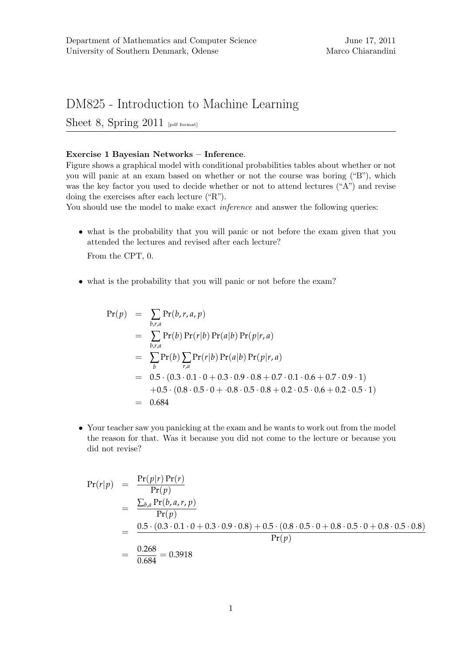## DM825 - Introduction to Machine Learning

Sheet 8, Spring  $2011$  [pdf format]

## Exercise 1 Bayesian Networks – Inference.

Figure shows a graphical model with conditional probabilities tables about whether or not you will panic at an exam based on whether or not the course was boring ("B"), which was the key factor you used to decide whether or not to attend lectures ("A") and revise doing the exercises after each lecture ("R").

You should use the model to make exact *inference* and answer the following queries:

• what is the probability that you will panic or not before the exam given that you attended the lectures and revised after each lecture?

From the CPT, 0.

• what is the probability that you will panic or not before the exam?

$$
Pr(p) = \sum_{b,r,a} Pr(b,r,a,p)
$$
  
=  $\sum_{b,r,a} Pr(b) Pr(r|b) Pr(a|b) Pr(p|r,a)$   
=  $\sum_{b} Pr(b) \sum_{r,a} Pr(r|b) Pr(a|b) Pr(p|r,a)$   
=  $0.5 \cdot (0.3 \cdot 0.1 \cdot 0 + 0.3 \cdot 0.9 \cdot 0.8 + 0.7 \cdot 0.1 \cdot 0.6 + 0.7 \cdot 0.9 \cdot 1)$   
+  $0.5 \cdot (0.8 \cdot 0.5 \cdot 0 + \cdot 0.8 \cdot 0.5 \cdot 0.8 + 0.2 \cdot 0.5 \cdot 0.6 + 0.2 \cdot 0.5 \cdot 1)$   
=  $0.684$ 

• Your teacher saw you panicking at the exam and he wants to work out from the model the reason for that. Was it because you did not come to the lecture or because you did not revise?

$$
Pr(r|p) = \frac{Pr(p|r) Pr(r)}{Pr(p)}
$$
  
= 
$$
\frac{\sum_{b,a} Pr(b,a,r,p)}{Pr(p)}
$$
  
= 
$$
\frac{0.5 \cdot (0.3 \cdot 0.1 \cdot 0 + 0.3 \cdot 0.9 \cdot 0.8) + 0.5 \cdot (0.8 \cdot 0.5 \cdot 0 + 0.8 \cdot 0.5 \cdot 0 + 0.8 \cdot 0.5 \cdot 0.8)}{Pr(p)}
$$
  
= 
$$
\frac{0.268}{0.684} = 0.3918
$$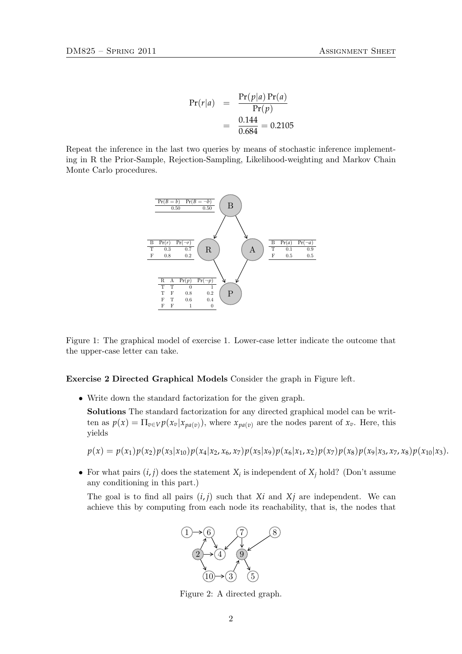$$
Pr(r|a) = \frac{Pr(p|a) Pr(a)}{Pr(p)} = \frac{0.144}{0.684} = 0.2105
$$

Repeat the inference in the last two queries by means of stochastic inference implementing in R the Prior-Sample, Rejection-Sampling, Likelihood-weighting and Markov Chain Monte Carlo procedures.



Figure 1: The graphical model of exercise 1. Lower-case letter indicate the outcome that the upper-case letter can take.

Exercise 2 Directed Graphical Models Consider the graph in Figure left.

• Write down the standard factorization for the given graph.

Solutions The standard factorization for any directed graphical model can be written as  $p(x) = \prod_{v \in V} p(x_v|x_{pa(v)})$ , where  $x_{pa(v)}$  are the nodes parent of  $x_v$ . Here, this yields

 $p(x) = p(x_1)p(x_2)p(x_3|x_{10})p(x_4|x_2, x_6, x_7)p(x_5|x_9)p(x_6|x_{11}, x_2)p(x_7)p(x_8)p(x_9|x_{31}, x_7, x_8)p(x_{10}|x_3).$ 

• For what pairs  $(i, j)$  does the statement  $X_i$  is independent of  $X_j$  hold? (Don't assume any conditioning in this part.)

The goal is to find all pairs  $(i, j)$  such that  $Xi$  and  $Xi$  are independent. We can achieve this by computing from each node its reachability, that is, the nodes that



Figure 2: A directed graph.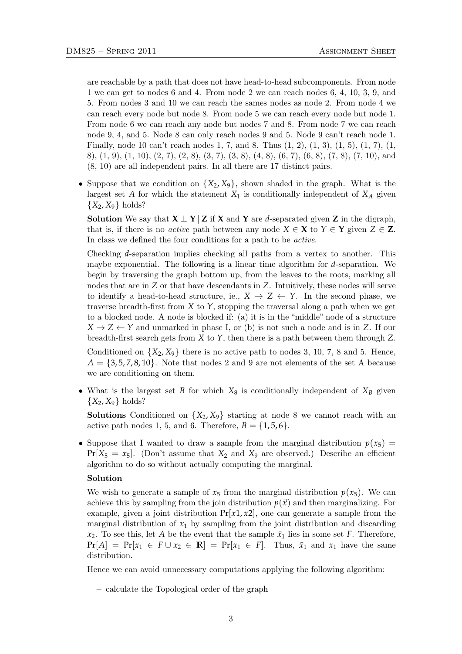are reachable by a path that does not have head-to-head subcomponents. From node 1 we can get to nodes 6 and 4. From node 2 we can reach nodes 6, 4, 10, 3, 9, and 5. From nodes 3 and 10 we can reach the sames nodes as node 2. From node 4 we can reach every node but node 8. From node 5 we can reach every node but node 1. From node 6 we can reach any node but nodes 7 and 8. From node 7 we can reach node 9, 4, and 5. Node 8 can only reach nodes 9 and 5. Node 9 can't reach node 1. Finally, node 10 can't reach nodes 1, 7, and 8. Thus  $(1, 2), (1, 3), (1, 5), (1, 7), (1, 1)$ 8), (1, 9), (1, 10), (2, 7), (2, 8), (3, 7), (3, 8), (4, 8), (6, 7), (6, 8), (7, 8), (7, 10), and (8, 10) are all independent pairs. In all there are 17 distinct pairs.

• Suppose that we condition on  ${X_2, X_9}$ , shown shaded in the graph. What is the largest set *A* for which the statement  $X_1$  is conditionally independent of  $X_A$  given  ${X_2, X_9}$  holds?

**Solution** We say that  $X \perp Y | Z$  if X and Y are *d*-separated given Z in the digraph, that is, if there is no *active* path between any node  $X \in \mathbf{X}$  to  $Y \in \mathbf{Y}$  given  $Z \in \mathbf{Z}$ . In class we defined the four conditions for a path to be active.

Checking *d*-separation implies checking all paths from a vertex to another. This maybe exponential. The following is a linear time algorithm for *d*-separation. We begin by traversing the graph bottom up, from the leaves to the roots, marking all nodes that are in *Z* or that have descendants in *Z*. Intuitively, these nodes will serve to identify a head-to-head structure, ie.,  $X \to Z \leftarrow Y$ . In the second phase, we traverse breadth-first from *X* to *Y*, stopping the traversal along a path when we get to a blocked node. A node is blocked if: (a) it is in the "middle" node of a structure  $X \to Z \leftarrow Y$  and unmarked in phase I, or (b) is not such a node and is in *Z*. If our breadth-first search gets from *X* to *Y*, then there is a path between them through *Z*.

Conditioned on  $\{X_2, X_9\}$  there is no active path to nodes 3, 10, 7, 8 and 5. Hence,  $A = \{3, 5, 7, 8, 10\}$ . Note that nodes 2 and 9 are not elements of the set A because we are conditioning on them.

• What is the largest set *B* for which  $X_8$  is conditionally independent of  $X_B$  given  $\{X_2, X_9\}$  holds?

**Solutions** Conditioned on  $\{X_2, X_9\}$  starting at node 8 we cannot reach with an active path nodes 1, 5, and 6. Therefore,  $B = \{1, 5, 6\}.$ 

• Suppose that I wanted to draw a sample from the marginal distribution  $p(x_5)$  =  $Pr[X_5 = x_5]$ . (Don't assume that  $X_2$  and  $X_9$  are observed.) Describe an efficient algorithm to do so without actually computing the marginal.

## Solution

We wish to generate a sample of  $x_5$  from the marginal distribution  $p(x_5)$ . We can achieve this by sampling from the join distribution  $p(\vec{x})$  and then marginalizing. For example, given a joint distribution  $Pr[x1, x2]$ , one can generate a sample from the marginal distribution of  $x_1$  by sampling from the joint distribution and discarding  $x_2$ . To see this, let *A* be the event that the sample  $\bar{x}_1$  lies in some set *F*. Therefore,  $Pr[A] = Pr[x_1 \in F \cup x_2 \in \mathbb{R}] = Pr[x_1 \in F]$ . Thus,  $\bar{x}_1$  and  $x_1$  have the same distribution.

Hence we can avoid unnecessary computations applying the following algorithm:

– calculate the Topological order of the graph